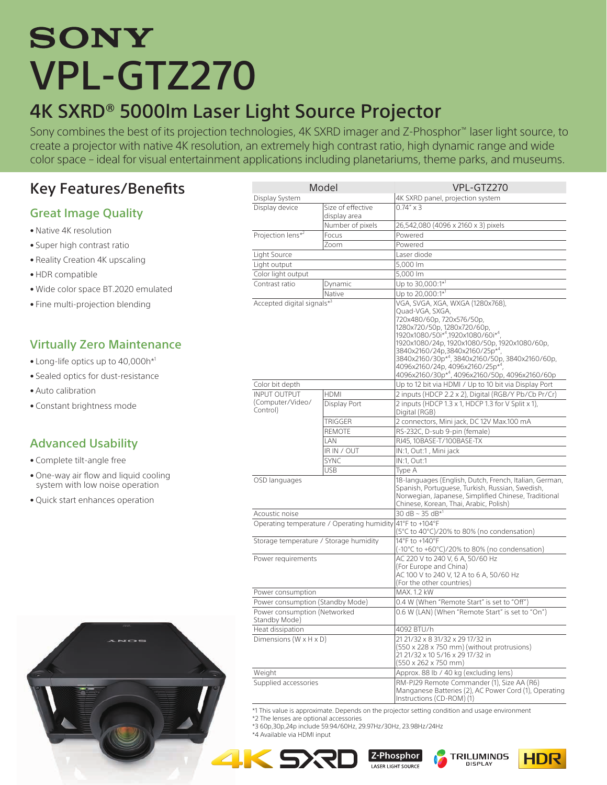# **SONY** VPL-GTZ270

## 4K SXRD® 5000lm Laser Light Source Projector

Sony combines the best of its projection technologies, 4K SXRD imager and Z-Phosphor™ laser light source, to create a projector with native 4K resolution, an extremely high contrast ratio, high dynamic range and wide color space – ideal for visual entertainment applications including planetariums, theme parks, and museums.

## Key Features/Benefits

#### Great Image Quality

- Native 4K resolution
- Super high contrast ratio
- Reality Creation 4K upscaling
- HDR compatible
- Wide color space BT.2020 emulated
- Fine multi-projection blending

#### Virtually Zero Maintenance

- Long-life optics up to 40,000h<sup>\*1</sup>
- Sealed optics for dust-resistance
- Auto calibration
- Constant brightness mode

#### Advanced Usability

- Complete tilt-angle free
- One-way air flow and liquid cooling system with low noise operation
- Quick start enhances operation



| Model                                         |                                   | VPL-GTZ270                                                                                                                                                                                                                                                                                                                                                                                                       |  |
|-----------------------------------------------|-----------------------------------|------------------------------------------------------------------------------------------------------------------------------------------------------------------------------------------------------------------------------------------------------------------------------------------------------------------------------------------------------------------------------------------------------------------|--|
| Display System                                |                                   | 4K SXRD panel, projection system                                                                                                                                                                                                                                                                                                                                                                                 |  |
| Display device                                | Size of effective<br>display area | $0.74'' \times 3$                                                                                                                                                                                                                                                                                                                                                                                                |  |
|                                               | Number of pixels                  | 26,542,080 (4096 x 2160 x 3) pixels                                                                                                                                                                                                                                                                                                                                                                              |  |
| Projection lens*2                             | Focus                             | Powered                                                                                                                                                                                                                                                                                                                                                                                                          |  |
| Zoom                                          |                                   | Powered                                                                                                                                                                                                                                                                                                                                                                                                          |  |
| Light Source                                  |                                   | Laser diode                                                                                                                                                                                                                                                                                                                                                                                                      |  |
| Light output                                  |                                   | 5,000 lm                                                                                                                                                                                                                                                                                                                                                                                                         |  |
| Color light output                            |                                   | 5,000 lm                                                                                                                                                                                                                                                                                                                                                                                                         |  |
| Contrast ratio                                | Dynamic                           | Up to $30,000:1*^1$                                                                                                                                                                                                                                                                                                                                                                                              |  |
|                                               | Native                            | Up to $20,000:1*^1$                                                                                                                                                                                                                                                                                                                                                                                              |  |
| Accepted digital signals* <sup>3</sup>        |                                   | VGA, SVGA, XGA, WXGA (1280x768),<br>Quad-VGA, SXGA,<br>720x480/60p, 720x576/50p,<br>1280x720/50p, 1280x720/60p,<br>1920x1080/50i*4,1920x1080/60i*4<br>1920x1080/24p, 1920x1080/50p, 1920x1080/60p,<br>3840x2160/24p,3840x2160/25p*4<br>3840x2160/30p <sup>*4</sup> , 3840x2160/50p, 3840x2160/60p,<br>4096x2160/24p, 4096x2160/25p <sup>*4</sup> ,<br>4096x2160/30p <sup>*4</sup> , 4096x2160/50p, 4096x2160/60p |  |
| Color bit depth                               |                                   | Up to 12 bit via HDMI / Up to 10 bit via Display Port                                                                                                                                                                                                                                                                                                                                                            |  |
| <b>INPUT OUTPUT</b>                           | <b>HDMI</b>                       | 2 inputs (HDCP 2.2 x 2), Digital (RGB/Y Pb/Cb Pr/Cr)                                                                                                                                                                                                                                                                                                                                                             |  |
| (Computer/Video/<br>Control)                  | Display Port                      | 2 inputs (HDCP 1.3 x 1, HDCP 1.3 for V Split x 1),<br>Digital (RGB)                                                                                                                                                                                                                                                                                                                                              |  |
|                                               | TRIGGER                           | 2 connectors, Mini jack, DC 12V Max.100 mA                                                                                                                                                                                                                                                                                                                                                                       |  |
|                                               | <b>REMOTE</b>                     | RS-232C, D-sub 9-pin (female)                                                                                                                                                                                                                                                                                                                                                                                    |  |
|                                               | LAN                               | RJ45, 10BASE-T/100BASE-TX                                                                                                                                                                                                                                                                                                                                                                                        |  |
|                                               | IR IN / OUT                       | IN:1, Out:1, Mini jack                                                                                                                                                                                                                                                                                                                                                                                           |  |
|                                               | <b>SYNC</b>                       | IN:1, Out:1                                                                                                                                                                                                                                                                                                                                                                                                      |  |
|                                               | <b>USB</b>                        | Type A                                                                                                                                                                                                                                                                                                                                                                                                           |  |
| OSD languages                                 |                                   | 18-languages (English, Dutch, French, Italian, German,<br>Spanish, Portuguese, Turkish, Russian, Swedish,<br>Norwegian, Japanese, Simplified Chinese, Traditional<br>Chinese, Korean, Thai, Arabic, Polish)                                                                                                                                                                                                      |  |
| Acoustic noise                                |                                   | 30 dB ~ 35 dB <sup>*1</sup>                                                                                                                                                                                                                                                                                                                                                                                      |  |
| Operating temperature / Operating humidity    |                                   | 41°F to +104°F<br>(5°C to 40°C)/20% to 80% (no condensation)                                                                                                                                                                                                                                                                                                                                                     |  |
| Storage temperature / Storage humidity        |                                   | 14°F to +140°F<br>(-10°C to +60°C)/20% to 80% (no condensation)                                                                                                                                                                                                                                                                                                                                                  |  |
| Power requirements                            |                                   | AC 220 V to 240 V, 6 A, 50/60 Hz<br>(For Europe and China)<br>AC 100 V to 240 V, 12 A to 6 A, 50/60 Hz<br>(For the other countries)                                                                                                                                                                                                                                                                              |  |
| Power consumption                             |                                   | MAX, 1.2 kW                                                                                                                                                                                                                                                                                                                                                                                                      |  |
| Power consumption (Standby Mode)              |                                   | 0.4 W (When "Remote Start" is set to "Off")                                                                                                                                                                                                                                                                                                                                                                      |  |
| Power consumption (Networked<br>Standby Mode) |                                   | 0.6 W (LAN) (When "Remote Start" is set to "On")                                                                                                                                                                                                                                                                                                                                                                 |  |
| Heat dissipation                              |                                   | 4092 BTU/h                                                                                                                                                                                                                                                                                                                                                                                                       |  |
| Dimensions (W x H x D)                        |                                   | 21 21/32 x 8 31/32 x 29 17/32 in<br>(550 x 228 x 750 mm) (without protrusions)<br>21 21/32 x 10 5/16 x 29 17/32 in<br>(550 x 262 x 750 mm)                                                                                                                                                                                                                                                                       |  |
| Weight                                        |                                   | Approx. 88 lb / 40 kg (excluding lens)                                                                                                                                                                                                                                                                                                                                                                           |  |
| Supplied accessories                          |                                   | RM-PJ29 Remote Commander (1), Size AA (R6)<br>Manganese Batteries (2), AC Power Cord (1), Operating<br>Instructions (CD-ROM) (1)                                                                                                                                                                                                                                                                                 |  |

\*1 This value is approximate. Depends on the projector setting condition and usage environment \*2 The lenses are optional accessories

\*3 60p,30p,24p include 59.94/60Hz, 29.97Hz/30Hz, 23.98Hz/24Hz

\*4 Available via HDMI input